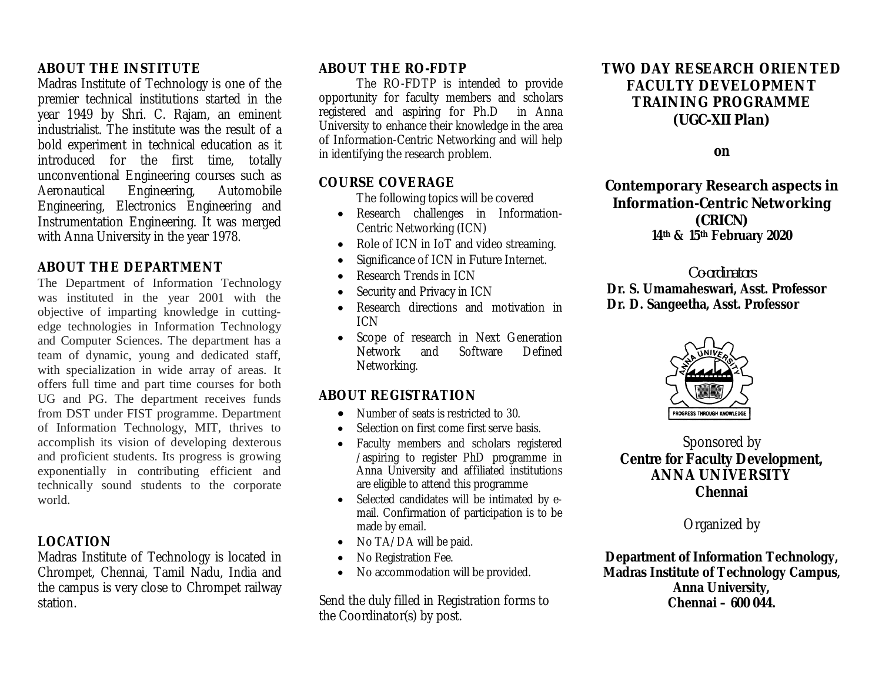## **ABOUT THE INSTITUTE**

Madras Institute of Technology is one of the premier technical institutions started in the year 1949 by Shri. C. Rajam, an eminent industrialist. The institute was the result of a bold experiment in technical education as it introduced for the first time, totally unconventional Engineering courses such as<br>Aeronautical Engineering, Automobile Engineering, Engineering, Electronics Engineering and Instrumentation Engineering. It was merged with Anna University in the year 1978.

## **ABOUT THE DEPARTMENT**

The Department of Information Technology was instituted in the year 2001 with the objective of imparting knowledge in cuttingedge technologies in Information Technology and Computer Sciences. The department has a team of dynamic, young and dedicated staff, with specialization in wide array of areas. It offers full time and part time courses for both UG and PG. The department receives funds from DST under FIST programme. Department of Information Technology, MIT, thrives to accomplish its vision of developing dexterous and proficient students. Its progress is growing exponentially in contributing efficient and technically sound students to the corporate world.

## **LOCATION**

Madras Institute of Technology is located in Chrompet, Chennai, Tamil Nadu, India and the campus is very close to Chrompet railway station.

### **ABOUT THE RO-FDTP**

The RO-FDTP is intended to provide opportunity for faculty members and scholars<br>registered and aspiring for Ph.D in Anna registered and aspiring for Ph.D University to enhance their knowledge in the area of Information-Centric Networking and will help in identifying the research problem.

#### **COURSE COVERAGE**

The following topics will be covered

- Research challenges in Information-Centric Networking (ICN)
- Role of ICN in IoT and video streaming.
- Significance of ICN in Future Internet.
- Research Trends in ICN
- Security and Privacy in ICN
- Research directions and motivation in ICN
- Scope of research in Next Generation Network and Software Defined Networking.

## **ABOUT REGISTRATION**

- Number of seats is restricted to 30.
- Selection on first come first serve basis.
- Faculty members and scholars registered /aspiring to register PhD programme in Anna University and affiliated institutions are eligible to attend this programme
- Selected candidates will be intimated by email. Confirmation of participation is to be made by email.
- No TA/DA will be paid.
- No Registration Fee.
- No accommodation will be provided.

Send the duly filled in Registration forms to the Coordinator(s) by post.

# **TWO DAY RESEARCH ORIENTED FACULTY DEVELOPMENT TRAINING PROGRAMME (UGC-XII Plan)**

**on**

**Contemporary Research aspects in Information-Centric Networking (CRICN) 14 th & 15 th February 2020**

#### *Co-ordinators* **Dr. S. Umamaheswari, Asst. Professor Dr. D. Sangeetha, Asst. Professor**



Sponsored by **Centre for Faculty Development, ANNA UNIVERSITY Chennai**

Organized by

**Department of Information Technology, Madras Institute of Technology Campus, Anna University, Chennai – 600 044.**